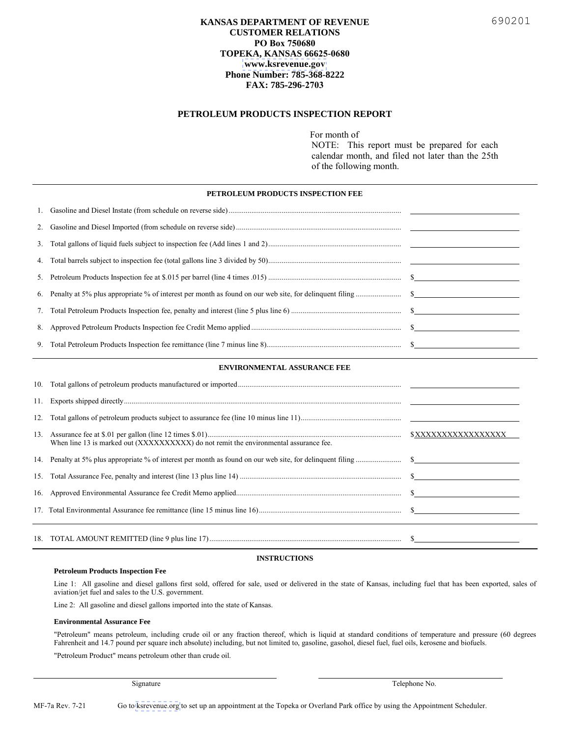## **KANSAS DEPARTMENT OF REVENUE CUSTOMER RELATIONS PO Box 750680 TOPEKA, KANSAS 66625-0680 [www.ksrevenue.](https://www.ksrevenue.org/forms-mfmisc.html#fee)gov Phone Number: 785-368-8222 FAX: 785-296-2703**

## **PETROLEUM PRODUCTS INSPECTION REPORT**

For month of

NOTE: This report must be prepared for each calendar month, and filed not later than the 25th of the following month.

#### **ENVIRONMENTAL ASSURANCE FEE**

| 12. |                                                                                       |                     |
|-----|---------------------------------------------------------------------------------------|---------------------|
|     | When line 13 is marked out (XXXXXXXXXX) do not remit the environmental assurance fee. | \$XXXXXXXXXXXXXXXXX |
|     |                                                                                       |                     |
|     |                                                                                       |                     |
|     |                                                                                       |                     |
|     |                                                                                       |                     |
|     |                                                                                       |                     |

### **INSTRUCTIONS**

#### **Petroleum Products Inspection Fee**

Line 1: All gasoline and diesel gallons first sold, offered for sale, used or delivered in the state of Kansas, including fuel that has been exported, sales of aviation/jet fuel and sales to the U.S. government.

Line 2: All gasoline and diesel gallons imported into the state of Kansas.

#### **Environmental Assurance Fee**

"Petroleum" means petroleum, including crude oil or any fraction thereof, which is liquid at standard conditions of temperature and pressure (60 degrees Fahrenheit and 14.7 pound per square inch absolute) including, but not limited to, gasoline, gasohol, diesel fuel, fuel oils, kerosene and biofuels.

"Petroleum Product" means petroleum other than crude oil.

Signature Telephone No.